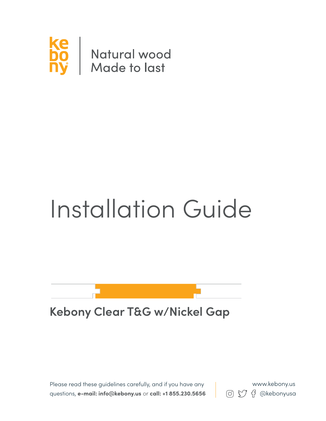

# Installation Guide

### **Kebony Clear T&G w/Nickel Gap**

Please read these guidelines carefully, and if you have any questions, **e-mail: info@kebony.us** or **call: +1 855.230.5656 8** (0)  $\bigcirc$   $\bigcirc$   $\bigcirc$   $\bigcirc$   $\bigcirc$  exebonyusa

www.kebony.us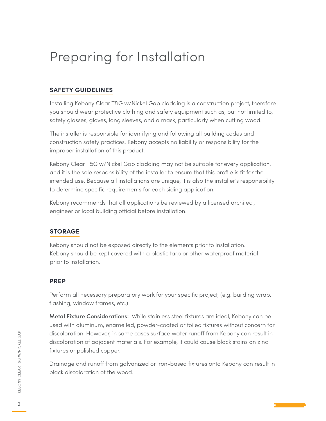## Preparing for Installation

#### **safety guidelines**

Installing Kebony Clear T&G w/Nickel Gap cladding is a construction project, therefore you should wear protective clothing and safety equipment such as, but not limited to, safety glasses, gloves, long sleeves, and a mask, particularly when cutting wood.

The installer is responsible for identifying and following all building codes and construction safety practices. Kebony accepts no liability or responsibility for the improper installation of this product.

Kebony Clear T&G w/Nickel Gap cladding may not be suitable for every application, and it is the sole responsibility of the installer to ensure that this profile is fit for the intended use. Because all installations are unique, it is also the installer's responsibility to determine specific requirements for each siding application.

Kebony recommends that all applications be reviewed by a licensed architect, engineer or local building official before installation.

#### **storage**

Kebony should not be exposed directly to the elements prior to installation. Kebony should be kept covered with a plastic tarp or other waterproof material prior to installation.

#### **prep**

Perform all necessary preparatory work for your specific project, (e.g. building wrap, flashing, window frames, etc.)

**Metal Fixture Considerations:** While stainless steel fixtures are ideal, Kebony can be used with aluminum, enamelled, powder-coated or foiled fixtures without concern for discoloration. However, in some cases surface water runoff from Kebony can result in discoloration of adjacent materials. For example, it could cause black stains on zinc fixtures or polished copper.

Drainage and runoff from galvanized or iron-based fixtures onto Kebony can result in black discoloration of the wood.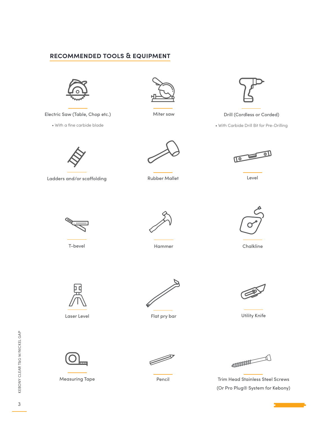#### **recommended tools & equipment**



Electric Saw (Table, Chop etc.)

• With a fine carbide blade



Miter saw



Drill (Cordless or Corded)

• With Carbide Drill Bit for Pre-Drilling



Ladders and/or scaffolding



Rubber Mallet



Level



T-bevel



Hammer Chalkline





Laser Level



Flat pry bar



Utility Knife



Measuring Tape



**ANDIQUE DE LA CONSTRUCCIÓN DE LA CONSTRUCCIÓN DE LA CONSTRUCCIÓN DE LA CONSTRUCCIÓN DE LA CONSTRUCCIÓN DE LA CONSTRUCCIÓN DE LA CONSTRUCCIÓN DE LA CONSTRUCCIÓN DE LA CONSTRUCCIÓN DE LA CONSTRUCCIÓN DE LA CONSTRUCCIÓN DE L** 

Pencil **Trim Head Stainless Steel Screws** (Or Pro Plug® System for Kebony)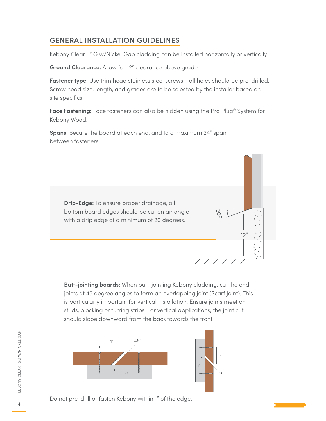#### general installation guidelines

Kebony Clear T&G w/Nickel Gap cladding can be installed horizontally or vertically.

**Ground Clearance:** Allow for 12" clearance above grade.

Fastener type: Use trim head stainless steel screws - all holes should be pre-drilled. Screw head size, length, and grades are to be selected by the installer based on site specifics.

**Face Fastening:** Face fasteners can also be hidden using the Pro Plug® System for Kebony Wood.

**Spans:** Secure the board at each end, and to a maximum 24" span between fasteners.

**Drip-Edge:** To ensure proper drainage, all bottom board edges should be cut on an angle with a drip edge of a minimum of 20 degrees.



**Butt-jointing boards:** When butt-jointing Kebony cladding, cut the end joints at 45 degree angles to form an overlapping joint (Scarf Joint). This is particularly important for vertical installation. Ensure joints meet on studs, blocking or furring strips. For vertical applications, the joint cut should slope downward from the back towards the front.



Do not pre-drill or fasten Kebony within 1" of the edge.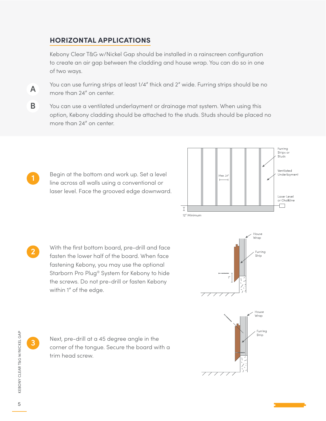#### **horizontal applications**

Kebony Clear T&G w/Nickel Gap should be installed in a rainscreen configuration to create an air gap between the cladding and house wrap. You can do so in one of two ways.

You can use furring strips at least 1/4" thick and 2" wide. Furring strips should be no more than 24" on center.

**B** You can use a ventilated underlayment or drainage mat system. When using this option, Kebony cladding should be attached to the studs. Studs should be placed no more than 24" on center.

Begin at the bottom and work up. Set a level line across all walls using a conventional or laser level. Face the grooved edge downward.



With the first bottom board, pre-drill and face fasten the lower half of the board. When face fastening Kebony, you may use the optional Starborn Pro Plug® System for Kebony to hide the screws. Do not pre-drill or fasten Kebony within 1" of the edge.





**3**

**A**

**2**

Next, pre-drill at a 45 degree angle in the corner of the tongue. Secure the board with a trim head screw.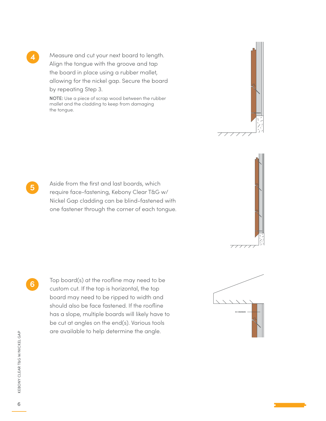Measure and cut your next board to length. Align the tongue with the groove and tap the board in place using a rubber mallet, allowing for the nickel gap. Secure the board by repeating Step 3.

NOTE: Use a piece of scrap wood between the rubber mallet and the cladding to keep from damaging the tongue.





Aside from the first and last boards, which require face-fastening, Kebony Clear T&G w/ Nickel Gap cladding can be blind-fastened with one fastener through the corner of each tongue.

**6**

**5**

**4**

Top board(s) at the roofline may need to be custom cut. If the top is horizontal, the top board may need to be ripped to width and should also be face fastened. If the roofline has a slope, multiple boards will likely have to be cut at angles on the end(s). Various tools are available to help determine the angle.

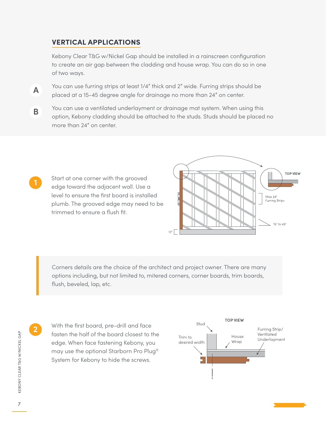#### **vertical applications**

Kebony Clear T&G w/Nickel Gap should be installed in a rainscreen configuration to create an air gap between the cladding and house wrap. You can do so in one of two ways.

You can use furring strips at least 1/4" thick and 2" wide. Furring strips should be placed at a 15-45 degree angle for drainage no more than 24" on center. **A**

You can use a ventilated underlayment or drainage mat system. When using this option, Kebony cladding should be attached to the studs. Studs should be placed no more than 24" on center. **B**

Start at one corner with the grooved edge toward the adjacent wall. Use a level to ensure the first board is installed plumb. The grooved edge may need to be trimmed to ensure a flush fit.



Corners details are the choice of the architect and project owner. There are many options including, but not limited to, mitered corners, corner boards, trim boards, flush, beveled, lap, etc.

KEBONY CLEAR T&G W/NICKEL GAP

KEBONY CLEAR T&G W/NICKEL GAP

**2**

**1**

With the first board, pre-drill and face fasten the half of the board closest to the edge. When face fastening Kebony, you may use the optional Starborn Pro Plug® System for Kebony to hide the screws.